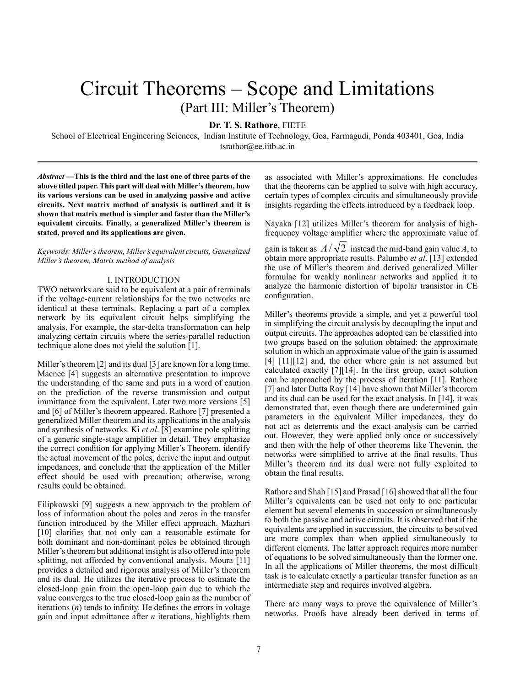# Circuit Theorems – Scope and Limitations (Part III: Miller's Theorem)

**Dr. T. S. Rathore**, FIETE

School of Electrical Engineering Sciences, Indian Institute of Technology, Goa, Farmagudi, Ponda 403401, Goa, India tsrathor@ee.iitb.ac.in

*Abstract* **—This is the third and the last one of three parts of the above titled paper. This part will deal with Miller's theorem, how its various versions can be used in analyzing passive and active circuits. Next matrix method of analysis is outlined and it is shown that matrix method is simpler and faster than the Miller's equivalent circuits. Finally, a generalized Miller's theorem is stated, proved and its applications are given.** 

*Keywords: Miller's theorem, Miller's equivalent circuits, Generalized Miller's theorem, Matrix method of analysis*

## I. INTRODUCTION

TWO networks are said to be equivalent at a pair of terminals if the voltage-current relationships for the two networks are identical at these terminals. Replacing a part of a complex network by its equivalent circuit helps simplifying the analysis. For example, the star-delta transformation can help analyzing certain circuits where the series-parallel reduction technique alone does not yield the solution [1].

Miller's theorem [2] and its dual [3] are known for a long time. Macnee [4] suggests an alternative presentation to improve the understanding of the same and puts in a word of caution on the prediction of the reverse transmission and output immittance from the equivalent. Later two more versions [5] and [6] of Miller's theorem appeared. Rathore [7] presented a generalized Miller theorem and its applications in the analysis and synthesis of networks. Ki *et al*. [8] examine pole splitting of a generic single-stage amplifier in detail. They emphasize the correct condition for applying Miller's Theorem, identify the actual movement of the poles, derive the input and output impedances, and conclude that the application of the Miller effect should be used with precaution; otherwise, wrong results could be obtained.

Filipkowski [9] suggests a new approach to the problem of loss of information about the poles and zeros in the transfer function introduced by the Miller effect approach. Mazhari [10] clarifies that not only can a reasonable estimate for both dominant and non-dominant poles be obtained through Miller's theorem but additional insight is also offered into pole splitting, not afforded by conventional analysis. Moura [11] provides a detailed and rigorous analysis of Miller's theorem and its dual. He utilizes the iterative process to estimate the closed-loop gain from the open-loop gain due to which the value converges to the true closed-loop gain as the number of iterations (*n*) tends to infinity. He defines the errors in voltage gain and input admittance after *n* iterations, highlights them

as associated with Miller's approximations. He concludes that the theorems can be applied to solve with high accuracy, certain types of complex circuits and simultaneously provide insights regarding the effects introduced by a feedback loop.

Nayaka [12] utilizes Miller's theorem for analysis of highfrequency voltage amplifier where the approximate value of

gain is taken as  $A/\sqrt{2}$  instead the mid-band gain value *A*, to obtain more appropriate results. Palumbo *et al*. [13] extended the use of Miller's theorem and derived generalized Miller formulae for weakly nonlinear networks and applied it to analyze the harmonic distortion of bipolar transistor in CE configuration.

Miller's theorems provide a simple, and yet a powerful tool in simplifying the circuit analysis by decoupling the input and output circuits. The approaches adopted can be classified into two groups based on the solution obtained: the approximate solution in which an approximate value of the gain is assumed [4] [11][12] and, the other where gain is not assumed but calculated exactly [7][14]. In the first group, exact solution can be approached by the process of iteration [11]. Rathore [7] and later Dutta Roy [14] have shown that Miller's theorem and its dual can be used for the exact analysis. In [14], it was demonstrated that, even though there are undetermined gain parameters in the equivalent Miller impedances, they do not act as deterrents and the exact analysis can be carried out. However, they were applied only once or successively and then with the help of other theorems like Thevenin, the networks were simplified to arrive at the final results. Thus Miller's theorem and its dual were not fully exploited to obtain the final results.

Rathore and Shah [15] and Prasad [16] showed that all the four Miller's equivalents can be used not only to one particular element but several elements in succession or simultaneously to both the passive and active circuits. It is observed that if the equivalents are applied in succession, the circuits to be solved are more complex than when applied simultaneously to different elements. The latter approach requires more number of equations to be solved simultaneously than the former one. In all the applications of Miller theorems, the most difficult task is to calculate exactly a particular transfer function as an intermediate step and requires involved algebra.

There are many ways to prove the equivalence of Miller's networks. Proofs have already been derived in terms of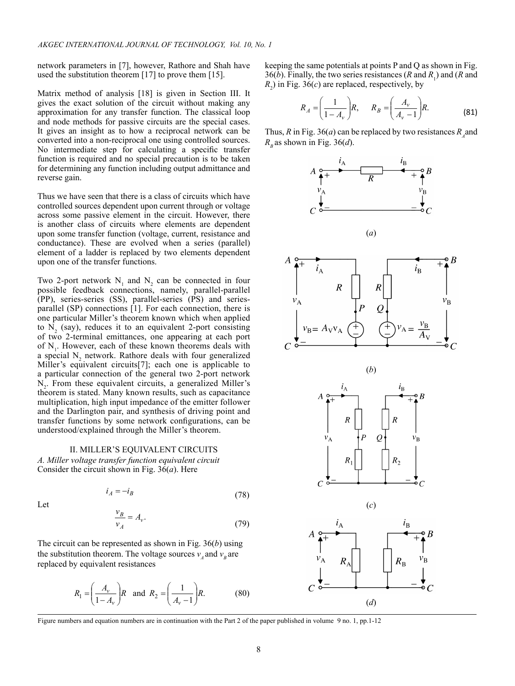network parameters in [7], however, Rathore and Shah have used the substitution theorem [17] to prove them [15].

Matrix method of analysis [18] is given in Section III. It gives the exact solution of the circuit without making any approximation for any transfer function. The classical loop and node methods for passive circuits are the special cases. It gives an insight as to how a reciprocal network can be converted into a non-reciprocal one using controlled sources. No intermediate step for calculating a specific transfer function is required and no special precaution is to be taken for determining any function including output admittance and reverse gain.

Thus we have seen that there is a class of circuits which have controlled sources dependent upon current through or voltage across some passive element in the circuit. However, there is another class of circuits where elements are dependent upon some transfer function (voltage, current, resistance and conductance). These are evolved when a series (parallel) element of a ladder is replaced by two elements dependent upon one of the transfer functions.

Two 2-port network  $N_1$  and  $N_2$  can be connected in four possible feedback connections, namely, parallel-parallel (PP), series-series (SS), parallel-series (PS) and seriesparallel (SP) connections [1]. For each connection, there is one particular Miller's theorem known which when applied to  $N_2$  (say), reduces it to an equivalent 2-port consisting of two 2-terminal emittances, one appearing at each port of  $N<sub>1</sub>$ . However, each of these known theorems deals with a special  $N_2$  network. Rathore deals with four generalized Miller's equivalent circuits[7]; each one is applicable to a particular connection of the general two 2-port network  $N<sub>2</sub>$ . From these equivalent circuits, a generalized Miller's theorem is stated. Many known results, such as capacitance multiplication, high input impedance of the emitter follower and the Darlington pair, and synthesis of driving point and transfer functions by some network configurations, can be understood/explained through the Miller's theorem.

#### II. Miller's equivalent circuits

*A. Miller voltage transfer function equivalent circuit* Consider the circuit shown in Fig. 36(*a*). Here

Let

$$
i_A = -i_B \tag{78}
$$

$$
\frac{\nu_B}{\nu_A} = A_v. \tag{79}
$$

The circuit can be represented as shown in Fig. 36(*b*) using the substitution theorem. The voltage sources  $v_4$  and  $v_5$  are replaced by equivalent resistances

$$
R_1 = \left(\frac{A_v}{1 - A_v}\right)R
$$
 and  $R_2 = \left(\frac{1}{A_v - 1}\right)R$ . (80)

keeping the same potentials at points P and Q as shown in Fig. 36(*b*). Finally, the two series resistances (*R* and  $R_1$ ) and (*R* and  $R<sub>2</sub>$ ) in Fig. 36(*c*) are replaced, respectively, by

$$
R_A = \left(\frac{1}{1 - A_v}\right)R, \qquad R_B = \left(\frac{A_v}{A_v - 1}\right)R. \tag{81}
$$

Thus, *R* in Fig. 36(*a*) can be replaced by two resistances  $R_A$  and  $R<sub>B</sub>$  as shown in Fig. 36(*d*).



Figure numbers and equation numbers are in continuation with the Part 2 of the paper published in volume 9 no. 1, pp.1-12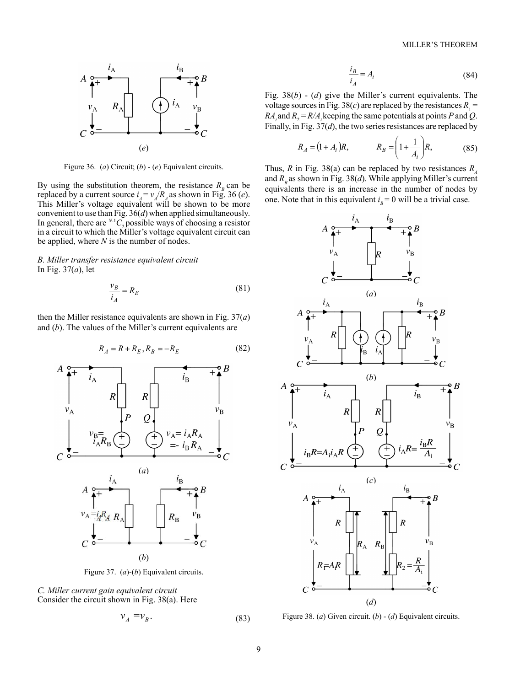

Figure 36. (*a*) Circuit; (*b*) - (*e*) Equivalent circuits.

By using the substitution theorem, the resistance  $R<sub>B</sub>$  can be replaced by a current source  $i_A = v_A/R_A$  as shown in Fig. 36 (*e*). This Miller's voltage equivalent will be shown to be more convenient to use than Fig. 36(*d*) when applied simultaneously. In general, there are  $^{N-1}C_2$  possible ways of choosing a resistor in a circuit to which the Miller's voltage equivalent circuit can be applied, where *N* is the number of nodes.

*B. Miller transfer resistance equivalent circuit* In Fig. 37(*a*), let

$$
\frac{v_B}{i_A} = R_E \tag{81}
$$

then the Miller resistance equivalents are shown in Fig. 37(*a*) and (*b*). The values of the Miller's current equivalents are

$$
R_A = R + R_E, R_B = -R_E \tag{82}
$$



Figure 37. (*a*)-(*b*) Equivalent circuits.

*C. Miller current gain equivalent circuit* Consider the circuit shown in Fig. 38(a). Here

$$
v_A = v_B. \tag{83}
$$

$$
\frac{i_B}{i_A} = A_i \tag{84}
$$

Fig. 38(*b*) - (*d*) give the Miller's current equivalents. The voltage sources in Fig. 38(*c*) are replaced by the resistances  $R_1$  =  $RA_i$  and  $R_2 = R/A_i$  keeping the same potentials at points *P* and *Q*. Finally, in Fig. 37(*d*), the two series resistances are replaced by

$$
R_A = (1 + A_i)R,
$$
  $R_B = \left(1 + \frac{1}{A_i}\right)R,$  (85)

Thus, *R* in Fig. 38(a) can be replaced by two resistances  $R_A$ and  $R<sub>B</sub>$  as shown in Fig. 38(*d*). While applying Miller's current equivalents there is an increase in the number of nodes by one. Note that in this equivalent  $i<sub>B</sub> = 0$  will be a trivial case.



Figure 38. (*a*) Given circuit. (*b*) - (*d*) Equivalent circuits.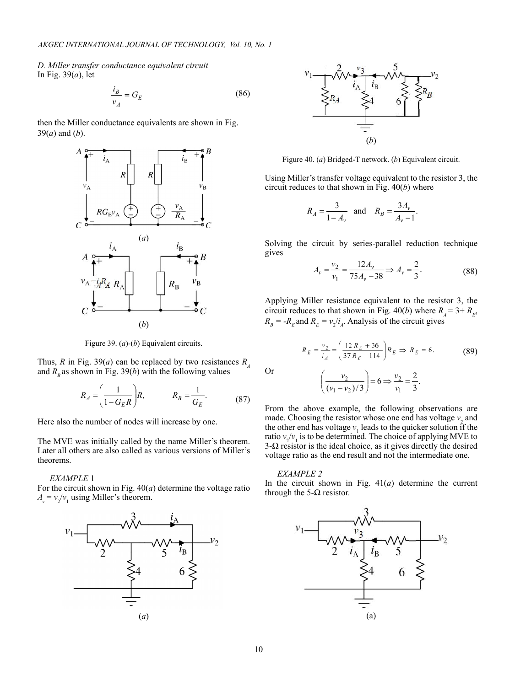*D. Miller transfer conductance equivalent circuit* In Fig. 39(*a*), let

$$
\frac{i_B}{v_A} = G_E \tag{86}
$$

then the Miller conductance equivalents are shown in Fig. 39(*a*) and (*b*).



Figure 39. (*a*)-(*b*) Equivalent circuits.

Thus, *R* in Fig. 39(*a*) can be replaced by two resistances  $R_A$ and  $R<sub>B</sub>$  as shown in Fig. 39(*b*) with the following values

$$
R_A = \left(\frac{1}{1 - G_E R}\right) R, \qquad R_B = \frac{1}{G_E}.\tag{87}
$$

Here also the number of nodes will increase by one.

The MVE was initially called by the name Miller's theorem. Later all others are also called as various versions of Miller's theorems.

## *EXAMPLE* 1

For the circuit shown in Fig. 40(*a*) determine the voltage ratio  $A_v = v_2/v_1$  using Miller's theorem.





Figure 40. (*a*) Bridged-T network. (*b*) Equivalent circuit.

Using Miller's transfer voltage equivalent to the resistor 3, the circuit reduces to that shown in Fig. 40(*b*) where

$$
R_A = \frac{3}{1 - A_v}
$$
 and  $R_B = \frac{3A_v}{A_v - 1}$ .

Solving the circuit by series-parallel reduction technique gives

$$
A_v = \frac{v_2}{v_1} = \frac{12A_v}{75A_v - 38} \Rightarrow A_v = \frac{2}{3}.
$$
 (88)

Applying Miller resistance equivalent to the resistor 3, the circuit reduces to that shown in Fig. 40(*b*) where  $R_A = 3 + R_E$ ,  $R_B = -R_E$  and  $R_E = v_2/i_A$ . Analysis of the circuit gives

$$
R_E = \frac{v_2}{i_A} = \left(\frac{12 R_E + 36}{37 R_E - 114}\right) R_E \implies R_E = 6.
$$
 (89)

Or

$$
\left(\frac{v_2}{(v_1 - v_2)/3}\right) = 6 \Rightarrow \frac{v_2}{v_1} = \frac{2}{3}.
$$

From the above example, the following observations are made. Choosing the resistor whose one end has voltage  $v_2$  and the other end has voltage  $v_1$  leads to the quicker solution if the ratio  $v_2/v_1$  is to be determined. The choice of applying MVE to 3- $\Omega$  resistor is the ideal choice, as it gives directly the desired voltage ratio as the end result and not the intermediate one.

#### *EXAMPLE 2*

In the circuit shown in Fig.  $41(a)$  determine the current through the 5- $\Omega$  resistor.

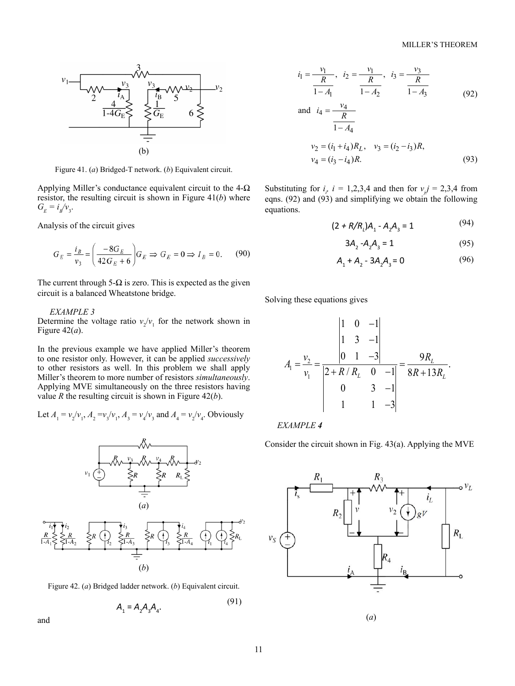

Figure 41. (*a*) Bridged-T network. (*b*) Equivalent circuit.

Applying Miller's conductance equivalent circuit to the  $4-\Omega$ resistor, the resulting circuit is shown in Figure 41(*b*) where  $G_{E} = i_{B}/v_{3}.$ 

Analysis of the circuit gives

$$
G_E = \frac{i_B}{v_3} = \left(\frac{-8G_E}{42G_E + 6}\right) G_E \Rightarrow G_E = 0 \Rightarrow I_B = 0. \tag{90}
$$

The current through  $5-\Omega$  is zero. This is expected as the given circuit is a balanced Wheatstone bridge.

## *EXAMPLE 3*

Determine the voltage ratio  $v_2/v_1$  for the network shown in Figure 42(*a*).

In the previous example we have applied Miller's theorem to one resistor only. However, it can be applied *successively* to other resistors as well. In this problem we shall apply Miller's theorem to more number of resistors *simultaneously*. Applying MVE simultaneously on the three resistors having value *R* the resulting circuit is shown in Figure 42(*b*).

Let 
$$
A_1 = v_2/v_1
$$
,  $A_2 = v_3/v_1$ ,  $A_3 = v_4/v_3$  and  $A_4 = v_2/v_4$ . Obviously



Figure 42. (*a*) Bridged ladder network. (*b*) Equivalent circuit.

$$
A_1 = A_2 A_3 A_4. \tag{91}
$$

and

$$
i_1 = \frac{v_1}{\frac{R}{1 - A_1}}, \quad i_2 = \frac{v_1}{\frac{R}{1 - A_2}}, \quad i_3 = \frac{v_3}{\frac{R}{1 - A_3}}
$$
\nand 
$$
i_4 = \frac{v_4}{\frac{R}{1 - A_4}}
$$
\n
$$
v_2 = (i_1 + i_4)R_L, \quad v_3 = (i_2 - i_3)R,
$$
\n
$$
v_4 = (i_3 - i_4)R.
$$
\n(93)

Substituting for  $i_i$ ,  $i = 1,2,3,4$  and then for  $v_j = 2,3,4$  from eqns. (92) and (93) and simplifying we obtain the following equations.

$$
(2 + R/Rl)A1 - A2A3 = 1
$$
 (94)

$$
3A_2 - A_2 A_3 = 1 \tag{95}
$$

$$
A_1 + A_2 - 3A_2A_3 = 0 \tag{96}
$$

Solving these equations gives

$$
A_{1} = \frac{v_{2}}{v_{1}} = \frac{\begin{vmatrix} 1 & 0 & -1 \\ 1 & 3 & -1 \\ 0 & 1 & -3 \end{vmatrix}}{\begin{vmatrix} 2 + R/R_{L} & 0 & -1 \\ 0 & 3 & -1 \\ 1 & 1 & -3 \end{vmatrix}} = \frac{9R_{L}}{8R + 13R_{L}}.
$$

*EXAMPLE 4*

Consider the circuit shown in Fig. 43(a). Applying the MVE



(*a*)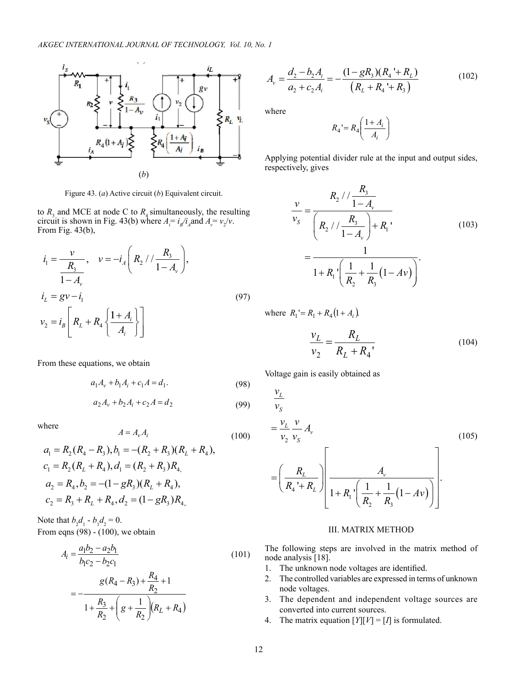

Figure 43. (*a*) Active circuit (*b*) Equivalent circuit.

to  $R_3$  and MCE at node C to  $R_4$  simultaneously, the resulting circuit is shown in Fig. 43(b) where  $A_i = i_g/i_A$  and  $A_v = v_2/v$ . From Fig. 43(b),

$$
i_1 = \frac{v}{\frac{R_3}{1 - A_v}}, \quad v = -i_A \left(R_2 / / \frac{R_3}{1 - A_v}\right),
$$
  
\n
$$
i_L = gv - i_1
$$
  
\n
$$
v_2 = i_B \left[R_L + R_4 \left\{\frac{1 + A_i}{A_i}\right\}\right]
$$
  
\n(97)

From these equations, we obtain

$$
a_1 A_v + b_1 A_i + c_1 A = d_1.
$$
 (98)

$$
a_2 A_v + b_2 A_i + c_2 A = d_2 \tag{99}
$$

where

$$
a_1 = R_2(R_4 - R_3), b_1 = -(R_2 + R_3)(R_L + R_4),
$$
  
\n
$$
c_1 = R_2(R_L + R_4), d_1 = (R_2 + R_3)R_4,
$$
  
\n
$$
a_2 = R_4, b_2 = -(1 - gR_3)(R_L + R_4),
$$
  
\n
$$
c_2 = R_3 + R_L + R_4, d_2 = (1 - gR_3)R_4.
$$

 $A = A_v A_i$ 

Note that  $b_2 d_1 - b_1 d_2 = 0$ . From eqns  $(98)$  -  $(100)$ , we obtain

$$
A_{i} = \frac{a_{1}b_{2} - a_{2}b_{1}}{b_{1}c_{2} - b_{2}c_{1}}
$$
\n
$$
g(R_{4} - R_{3}) + \frac{R_{4}}{R_{2}} + 1
$$
\n(101)

$$
= -\frac{8(14+13)^{3}}{1+\frac{R_{3}}{R_{2}}+\left(g+\frac{1}{R_{2}}\right)(R_{L}+R_{4})}
$$

$$
A_{\nu} = \frac{d_2 - b_2 A_i}{a_2 + c_2 A_i} = -\frac{(1 - gR_3)(R_4 + R_2)}{(R_2 + R_4 + R_3)}
$$
(102)

where

$$
R_4 = R_4 \left(\frac{1 + A_i}{A_i}\right)
$$

Applying potential divider rule at the input and output sides, respectively, gives

$$
\frac{v}{v_s} = \frac{R_2 / / \frac{R_3}{1 - A_v}}{\left(R_2 / / \frac{R_3}{1 - A_v}\right) + R_1}
$$
\n
$$
= \frac{1}{1 + R_1 \left(\frac{1}{R_2} + \frac{1}{R_3} (1 - Av)\right)}.
$$
\n(103)

where  $R_1 = R_1 + R_4 (1 + A_i)$ .

$$
\frac{v_L}{v_2} = \frac{R_L}{R_L + R_4},
$$
\n(104)

Voltage gain is easily obtained as

$$
\frac{v_L}{v_S} = \frac{v_L}{v_2} \frac{v}{v_S} A_v
$$
\n
$$
= \left(\frac{R_L}{R_4 + R_L}\right) \left[\frac{A_v}{1 + R_1 \left(\frac{1}{R_2} + \frac{1}{R_3} (1 - Av)\right)}\right].
$$
\n(105)

## III. MATRIX METHOD

The following steps are involved in the matrix method of node analysis [18].

- 1. The unknown node voltages are identified.
- 2. The controlled variables are expressed in terms of unknown node voltages.
- 3. The dependent and independent voltage sources are converted into current sources.
- 4. The matrix equation  $[Y][V] = [I]$  is formulated.

(100)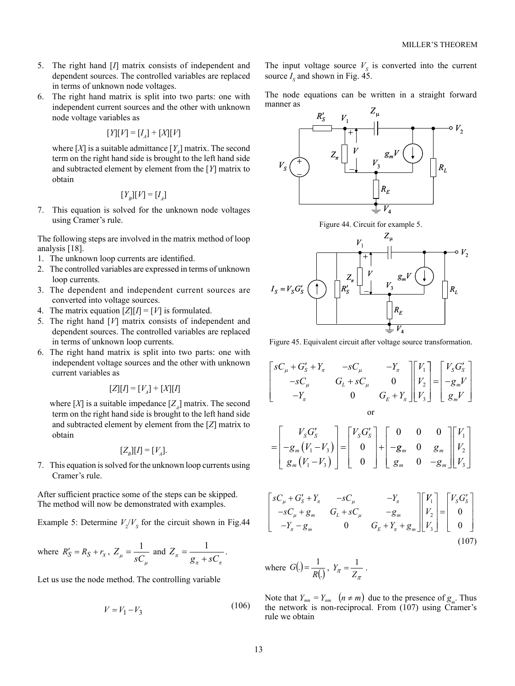- 5. The right hand [*I*] matrix consists of independent and dependent sources. The controlled variables are replaced in terms of unknown node voltages.
- 6. The right hand matrix is split into two parts: one with independent current sources and the other with unknown node voltage variables as

$$
[Y][V] = [I_A] + [X][V]
$$

where  $[X]$  is a suitable admittance  $[Y]$  matrix. The second term on the right hand side is brought to the left hand side and subtracted element by element from the [*Y*] matrix to obtain

$$
[Y_{B}][V] = [I_{A}]
$$

7. This equation is solved for the unknown node voltages using Cramer's rule.

The following steps are involved in the matrix method of loop analysis [18].

- 1. The unknown loop currents are identified.
- 2. The controlled variables are expressed in terms of unknown loop currents.
- 3. The dependent and independent current sources are converted into voltage sources.
- 4. The matrix equation  $[Z][I] = [V]$  is formulated.
- 5. The right hand [*V*] matrix consists of independent and dependent sources. The controlled variables are replaced in terms of unknown loop currents.
- 6. The right hand matrix is split into two parts: one with independent voltage sources and the other with unknown current variables as

$$
[Z][I] = [V_A] + [X][I]
$$

where  $[X]$  is a suitable impedance  $[Z_A]$  matrix. The second term on the right hand side is brought to the left hand side and subtracted element by element from the [*Z*] matrix to obtain

$$
[Z_{B}][I] = [V_{A}].
$$

7. This equation is solved for the unknown loop currents using Cramer's rule.

After sufficient practice some of the steps can be skipped. The method will now be demonstrated with examples.

Example 5: Determine  $V_2/V_s$  for the circuit shown in Fig.44

where 
$$
R'_S = R_S + r_x
$$
,  $Z_\mu = \frac{1}{sC_\mu}$  and  $Z_\pi = \frac{1}{g_\pi + sC_\pi}$ .

Let us use the node method. The controlling variable

$$
V = V_1 - V_3 \tag{106}
$$

The input voltage source  $V<sub>S</sub>$  is converted into the current source  $I_s$  and shown in Fig. 45.

The node equations can be written in a straight forward manner as



Figure 44. Circuit for example 5.



Figure 45. Equivalent circuit after voltage source transformation.

$$
\begin{bmatrix}\nsC_{\mu} + G'_{S} + Y_{\pi} & -sC_{\mu} & -Y_{\pi} \\
-sC_{\mu} & G_{L} + sC_{\mu} & 0 \\
-Y_{\pi} & 0 & G_{E} + Y_{\pi}\n\end{bmatrix}\n\begin{bmatrix}\nV_{1} \\
V_{2} \\
V_{3}\n\end{bmatrix} =\n\begin{bmatrix}\nV_{S}G'_{S} \\
-g_{m}V \\
g_{m}V\n\end{bmatrix}
$$
\nor\n
$$
\begin{bmatrix}\nV_{S}G' & \n\end{bmatrix}\n\begin{bmatrix}\nV_{S}G' \\
V_{S} \\
V_{S}\n\end{bmatrix} =\n\begin{bmatrix}\n0 & 0 & 0 & 0 \\
0 & 0 & 0 & 0 \\
0 & 0 & 0 & 0 \\
0 & 0 & 0 & 0\n\end{bmatrix}\n\begin{bmatrix}\nV_{S} \\
V_{S} \\
V_{S}\n\end{bmatrix}
$$

$$
= \begin{bmatrix} V_S G_S' \\ -g_m (V_1 - V_3) \\ g_m (V_1 - V_3) \end{bmatrix} = \begin{bmatrix} V_S G_S' \\ 0 \\ 0 \end{bmatrix} + \begin{bmatrix} 0 & 0 & 0 \\ -g_m & 0 & g_m \\ g_m & 0 & -g_m \end{bmatrix} \begin{bmatrix} V_1 \\ V_2 \\ V_3 \end{bmatrix}
$$

$$
\begin{bmatrix}\nsC_{\mu} + G'_{S} + Y_{\pi} & -sC_{\mu} & -Y_{\pi} \\
-sC_{\mu} + g_{m} & G_{L} + sC_{\mu} & -g_{m} \\
-Y_{\pi} - g_{m} & 0 & G_{E} + Y_{\pi} + g_{m}\n\end{bmatrix}\n\begin{bmatrix}\nV_{1} \\
V_{2} \\
V_{3}\n\end{bmatrix} =\n\begin{bmatrix}\nV_{S}G'_{S} \\
0 \\
0 \\
0\n\end{bmatrix}
$$
\n(107)

where 
$$
G(.) = \frac{1}{R(.)}
$$
,  $Y_{\pi} = \frac{1}{Z_{\pi}}$ .

Note that  $Y_{mn} = Y_{nm}$   $(n \neq m)$  due to the presence of  $g_m$ . Thus the network is non-reciprocal. From (107) using Cramer's rule we obtain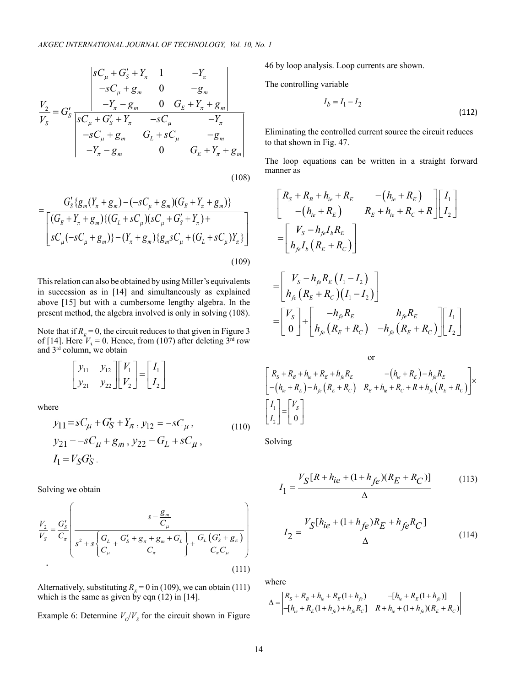$$
\frac{V_2}{V_S} = G_S' \frac{\begin{vmatrix} sC_{\mu} + G_S' + Y_{\pi} & 1 & -Y_{\pi} \\ -sC_{\mu} + g_m & 0 & -g_m \end{vmatrix}}{\begin{vmatrix} sC_{\mu} + G_S' + Y_{\pi} & 0 & G_E + Y_{\pi} + g_m \end{vmatrix}}}{\begin{vmatrix} sC_{\mu} + G_S' + Y_{\pi} & -sC_{\mu} & -Y_{\pi} \\ -sC_{\mu} + g_m & G_L + sC_{\mu} & -g_m \\ -Y_{\pi} - g_m & 0 & G_E + Y_{\pi} + g_m \end{vmatrix}}
$$

(108)

$$
=\frac{G'_{S}\{g_{m}(Y_{\pi}+g_{m})-(-sC_{\mu}+g_{m})(G_{E}+Y_{\pi}+g_{m})\}}{\left[(G_{E}+Y_{\pi}+g_{m})\{(G_{L}+sC_{\mu})(sC_{\mu}+G'_{S}+Y_{\pi})+\right]}\left[sC_{\mu}(-sC_{\mu}+g_{m})\}-(Y_{\pi}+g_{m})\{g_{m}sC_{\mu}+(G_{L}+sC_{\mu})Y_{\pi}\}\right]}
$$
\n(109)

This relation can also be obtained by using Miller's equivalents in succession as in [14] and simultaneously as explained above [15] but with a cumbersome lengthy algebra. In the present method, the algebra involved is only in solving (108).

Note that if  $R_E = 0$ , the circuit reduces to that given in Figure 3 of [14]. Here  $V_3 = 0$ . Hence, from (107) after deleting 3<sup>rd</sup> row and  $3<sup>rd</sup>$  column, we obtain

$$
\begin{bmatrix} y_{11} & y_{12} \\ y_{21} & y_{22} \end{bmatrix} \begin{bmatrix} V_1 \\ V_2 \end{bmatrix} = \begin{bmatrix} I_1 \\ I_2 \end{bmatrix}
$$

where

$$
y_{11} = sC_{\mu} + G'_{S} + Y_{\pi}, y_{12} = -sC_{\mu},
$$
  
\n
$$
y_{21} = -sC_{\mu} + g_{m}, y_{22} = G_{L} + sC_{\mu},
$$
  
\n
$$
I_{1} = V_{S}G'_{S}.
$$
  
\n(110)

Solving we obtain

$$
\frac{V_2}{V_S} = \frac{G_S'}{C_\pi} \left( \frac{s - \frac{g_m}{C_\mu}}{s^2 + s \left\{ \frac{G_L}{C_\mu} + \frac{G_S' + g_\pi + g_m + G_L}{C_\pi} \right\} + \frac{G_L (G_S' + g_\pi)}{C_\pi C_\mu} \right)}
$$
\n(111)

Alternatively, substituting  $R<sub>E</sub> = 0$  in (109), we can obtain (111) which is the same as given by eqn  $(12)$  in  $[14]$ .

Example 6: Determine  $V_o/V_s$  for the circuit shown in Figure

46 by loop analysis. Loop currents are shown.

The controlling variable

$$
I_b = I_1 - I_2 \tag{112}
$$

Eliminating the controlled current source the circuit reduces to that shown in Fig. 47.

The loop equations can be written in a straight forward manner as

$$
\begin{aligned}\nR_{S} + R_{B} + h_{ie} + R_{E} & -(h_{ie} + R_{E}) \\
-(h_{ie} + R_{E}) & R_{E} + h_{ie} + R_{C} + R\n\end{aligned}\n\begin{bmatrix}\nI_{1} \\
I_{2}\n\end{bmatrix}\n=\n\begin{bmatrix}\nV_{S} - h_{fe}I_{b}R_{E} \\
h_{je}I_{b} (R_{E} + R_{C})\n\end{bmatrix}\n=\n\begin{bmatrix}\nV_{S} - h_{fe}R_{E} (I_{1} - I_{2}) \\
h_{fe} (R_{E} + R_{C}) (I_{1} - I_{2})\n\end{bmatrix}\n=\n\begin{bmatrix}\nV_{S} \\
0\n\end{bmatrix}\n+\n\begin{bmatrix}\n-h_{fe}R_{E} & h_{fe}R_{E} \\
h_{fe} (R_{E} + R_{C}) & -h_{fe} (R_{E} + R_{C})\n\end{bmatrix}\n\begin{bmatrix}\nI_{1} \\
I_{2}\n\end{bmatrix}\n\end{aligned}
$$

or  
\n
$$
\begin{bmatrix}\nR_S + R_B + h_{ie} + R_E + h_{fe}R_E & -(h_{ie} + R_E) - h_{fe}R_E \\
-(h_{ie} + R_E) - h_{fe}(R_E + R_C) & R_E + h_{ie} + R_C + R + h_{fe}(R_E + R_C)\n\end{bmatrix}\times
$$
\n
$$
\begin{bmatrix}\nI_1 \\
I_2\n\end{bmatrix} =\n\begin{bmatrix}\nV_S \\
0\n\end{bmatrix}
$$

Solving

$$
I_1 = \frac{V_S[R + h_{ie} + (1 + h_{fe})(R_E + R_C)]}{\Delta} \tag{113}
$$

$$
I_2 = \frac{V_S[h_{ie} + (1 + h_{fe})R_E + h_{fe}R_C]}{\Delta}
$$
(114)

where

$$
\Delta = \begin{vmatrix} R_{S} + R_{B} + h_{ie} + R_{E} (1 + h_{fe}) & -[h_{ie} + R_{E} (1 + h_{fe})] \\ -[h_{ie} + R_{E} (1 + h_{fe}) + h_{fe} R_{C}] & R + h_{ie} + (1 + h_{fe}) (R_{E} + R_{C}) \end{vmatrix}
$$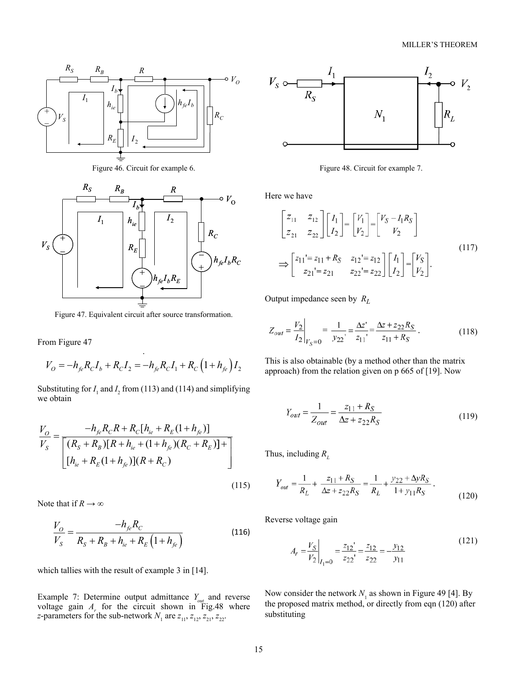

Figure 46. Circuit for example 6.



Figure 47. Equivalent circuit after source transformation.

From Figure 47

$$
V_O = -h_{fe}R_{C}I_b + R_{C}I_2 = -h_{fe}R_{C}I_1 + R_{C}(1 + h_{fe})I_2
$$

Substituting for  $I_1$  and  $I_2$  from (113) and (114) and simplifying we obtain

$$
\frac{V_O}{V_S} = \frac{-h_{fe}R_C R + R_C[h_{ie} + R_E(1 + h_{fe})]}{\left[ (R_S + R_B)[R + h_{ie} + (1 + h_{fe})(R_C + R_E)] + \right]}
$$
  
\n
$$
\left[ h_{ie} + R_E(1 + h_{fe})](R + R_C) \right]
$$
\n(115)

Note that if  $R \to \infty$ 

$$
\frac{V_O}{V_S} = \frac{-h_{fe}R_C}{R_S + R_B + h_{ie} + R_E(1 + h_{fe})}
$$
(116)

which tallies with the result of example 3 in [14].

Example 7: Determine output admittance *Yout* and reverse voltage gain  $A_r$  for the circuit shown in Fig.48 where *z*-parameters for the sub-network  $N_1$  are  $z_{11}$ ,  $z_{12}$ ,  $z_{21}$ ,  $z_{22}$ .



Figure 48. Circuit for example 7.

Here we have

$$
\begin{bmatrix} z_{11} & z_{12} \ z_{21} & z_{22} \end{bmatrix} \begin{bmatrix} I_1 \ I_2 \end{bmatrix} = \begin{bmatrix} V_1 \ V_2 \end{bmatrix} = \begin{bmatrix} V_S - I_1 R_S \ V_2 \end{bmatrix}
$$
  
\n
$$
\Rightarrow \begin{bmatrix} z_{11} = z_{11} + R_S & z_{12} = z_{12} \ z_{21} = z_{21} & z_{22} = z_{22} \end{bmatrix} \begin{bmatrix} I_1 \ I_2 \end{bmatrix} = \begin{bmatrix} V_S \ V_2 \end{bmatrix}.
$$
\n(117)

Output impedance seen by *RL*

$$
Z_{out} = \frac{V_2}{I_2}\Big|_{V_S=0} = \frac{1}{y_{22}} = \frac{\Delta z'}{z_{11}} = \frac{\Delta z + z_{22}R_S}{z_{11} + R_S}.
$$
 (118)

This is also obtainable (by a method other than the matrix approach) from the relation given on p 665 of [19]. Now

$$
Y_{out} = \frac{1}{Z_{out}} = \frac{z_{11} + R_S}{\Delta z + z_{22}R_S}
$$
(119)

Thus, including  $R_L$ 

$$
Y_{out} = \frac{1}{R_L} + \frac{z_{11} + R_S}{\Delta z + z_{22} R_S} = \frac{1}{R_L} + \frac{y_{22} + \Delta y R_S}{1 + y_{11} R_S} \,. \tag{120}
$$

Reverse voltage gain

$$
A_r = \frac{V_S}{V_2}\bigg|_{I_1=0} = \frac{z_{12}}{z_{22}} = \frac{z_{12}}{z_{22}} = -\frac{y_{12}}{y_{11}}
$$
(121)

Now consider the network  $N_1$  as shown in Figure 49 [4]. By the proposed matrix method, or directly from eqn (120) after substituting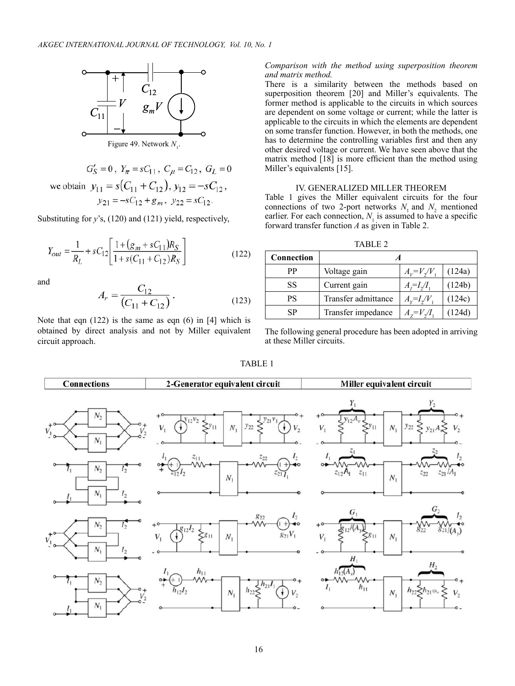

Figure 49. Network  $N_1$ .

$$
G'_{S} = 0, Y_{\pi} = sC_{11}, C_{\mu} = C_{12}, G_{L} = 0
$$
  
we obtain  $y_{11} = s(C_{11} + C_{12}), y_{12} = -sC_{12},$   
 $y_{21} = -sC_{12} + g_{m}, y_{22} = sC_{12}.$ 

Substituting for *y*'s, (120) and (121) yield, respectively,

$$
Y_{out} = \frac{1}{R_L} + sC_{12} \left[ \frac{1 + (g_m + sC_{11})R_S}{1 + s(C_{11} + C_{12})R_S} \right]
$$
(122)

and

$$
A_r = \frac{C_{12}}{(C_{11} + C_{12})}.
$$
 (123)

Note that eqn  $(122)$  is the same as eqn  $(6)$  in  $[4]$  which is obtained by direct analysis and not by Miller equivalent circuit approach.

## *Comparison with the method using superposition theorem and matrix method.*

There is a similarity between the methods based on superposition theorem [20] and Miller's equivalents. The former method is applicable to the circuits in which sources are dependent on some voltage or current; while the latter is applicable to the circuits in which the elements are dependent on some transfer function. However, in both the methods, one has to determine the controlling variables first and then any other desired voltage or current. We have seen above that the matrix method [18] is more efficient than the method using Miller's equivalents [15].

# IV. Generalized Miller Theorem

Table 1 gives the Miller equivalent circuits for the four connections of two 2-port networks  $N_1$  and  $N_2$  mentioned earlier. For each connection,  $N<sub>1</sub>$  is assumed to have a specific forward transfer function *A* as given in Table 2.

TABLE 2

| Connection |                     |                                |        |  |
|------------|---------------------|--------------------------------|--------|--|
| РP         | Voltage gain        | $A_v = V_v/V$                  | (124a) |  |
| SS         | Current gain        | $A_i = I_{\gamma}/I_{\gamma}$  | (124b) |  |
| <b>PS</b>  | Transfer admittance | $A_v = I_v/V$                  | (124c) |  |
| SP         | Transfer impedance  | $A_{\alpha} = V \mathcal{J} I$ | (124d) |  |

The following general procedure has been adopted in arriving at these Miller circuits.

## TABLE 1

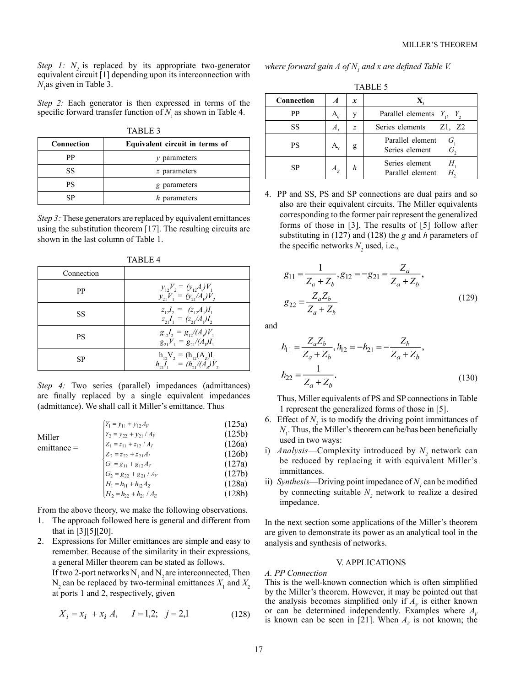*Step 1:*  $N_2$  is replaced by its appropriate two-generator equivalent circuit [1] depending upon its interconnection with *N*1 as given in Table 3.

*Step 2:* Each generator is then expressed in terms of the specific forward transfer function of  $N<sub>1</sub>$  as shown in Table 4.

| <b>TABLE 3</b> |                                |  |
|----------------|--------------------------------|--|
| Connection     | Equivalent circuit in terms of |  |
| РP             | $\nu$ parameters               |  |
| SS             | z parameters                   |  |
| PS             | g parameters                   |  |
| ςp             | h parameters                   |  |

*Step 3:* These generators are replaced by equivalent emittances using the substitution theorem [17]. The resulting circuits are shown in the last column of Table 1.

| Connection |                                                                   |
|------------|-------------------------------------------------------------------|
| PP         | $y_1, V_2 = (y_1, A) V_1$<br>$y_{21}V_1 = (y_{21}/A_v)V_2$        |
| SS         | $z_{12}J_2 = (z_{12}A_1)I_1$<br>$z_{21}I_1 = (z_{21}/A_1)I_2$     |
| PS         | $g_1, I_2 = g_1/(A_v)V_1$<br>$g_{21}V_1 = g_{21}/(A_v)I_1$        |
| SP         | $h_{12}V_2 = (h_{12}(A_2)I_1)$<br>$h_{21}I_1 = (h_{21}/(A_2)V_2)$ |

TABLE 4

*Step 4:* Two series (parallel) impedances (admittances) are finally replaced by a single equivalent impedances (admittance). We shall call it Miller's emittance. Thus

|                         | $Y_1 = y_{11} + y_{12} A_V$   | (125a) |
|-------------------------|-------------------------------|--------|
| Miller<br>$emittance =$ | $Y_2 = y_{22} + y_{21} / A_V$ | (125b) |
|                         | $Z_1 = z_{11} + z_{12} / A_I$ | (126a) |
|                         | $Z_2 = z_{22} + z_{21}A_I$    | (126b) |
|                         | $G_1 = g_{11} + g_{12} A_Y$   | (127a) |
|                         | $G_2 = g_{22} + g_{21} / A_V$ | (127b) |
|                         | $H_1 = h_{11} + h_{12} A_Z$   | (128a) |
|                         | $H_2 = h_{22} + h_{21} / A_Z$ | (128b) |

From the above theory, we make the following observations.

- 1. The approach followed here is general and different from that in [3][5][20].
- 2. Expressions for Miller emittances are simple and easy to remember. Because of the similarity in their expressions, a general Miller theorem can be stated as follows.

If two 2-port networks  $N_1$  and  $N_2$  are interconnected, Then  $N_2$  can be replaced by two-terminal emittances  $X_1$  and  $X_2$ at ports 1 and 2, respectively, given

$$
X_i = x_i + x_i A, \quad I = 1,2; \quad j = 2,1 \tag{128}
$$

where forward gain  $A$  of  $N_{_I}$  and  $x$  are defined Table V.

TABLE 5

| Connection | $\boldsymbol{A}$ | x              |                                    |
|------------|------------------|----------------|------------------------------------|
| РP         |                  | V              | Parallel elements $Y_1$ , $Y_2$    |
| SS         | A                | $\overline{z}$ | Series elements<br>Z1, Z2          |
| PS         |                  |                | Parallel element<br>Series element |
| SP         |                  |                | Series element<br>Parallel element |

4. PP and SS, PS and SP connections are dual pairs and so also are their equivalent circuits. The Miller equivalents corresponding to the former pair represent the generalized forms of those in [3]. The results of [5] follow after substituting in (127) and (128) the *g* and *h* parameters of the specific networks  $N_2$  used, i.e.,

$$
g_{11} = \frac{1}{Z_a + Z_b}, g_{12} = -g_{21} = \frac{Z_a}{Z_a + Z_b},
$$
  

$$
g_{22} = \frac{Z_a Z_b}{Z_a + Z_b}
$$
 (129)

and

$$
h_{11} = \frac{Z_a Z_b}{Z_a + Z_b}, h_{12} = -h_{21} = -\frac{Z_b}{Z_a + Z_b},
$$
  

$$
h_{22} = \frac{1}{Z_a + Z_b}.
$$
 (130)

Thus, Miller equivalents of PS and SP connections in Table 1 represent the generalized forms of those in [5].

- 6. Effect of *N2* is to modify the driving point immittances of  $N<sub>1</sub>$ . Thus, the Miller's theorem can be/has been beneficially used in two ways:
- i) *Analysis*—Complexity introduced by  $N_2$  network can be reduced by replacing it with equivalent Miller's immittances.
- ii) *Synthesis*—Driving point impedance of  $N<sub>1</sub>$  can be modified by connecting suitable  $N_2$  network to realize a desired impedance.

In the next section some applications of the Miller's theorem are given to demonstrate its power as an analytical tool in the analysis and synthesis of networks.

## V. APPLICATIONS

## *A. PP Connection*

This is the well-known connection which is often simplified by the Miller's theorem. However, it may be pointed out that the analysis becomes simplified only if  $A<sub>v</sub>$  is either known or can be determined independently. Examples where  $A_V$ is known can be seen in [21]. When  $A<sub>V</sub>$  is not known; the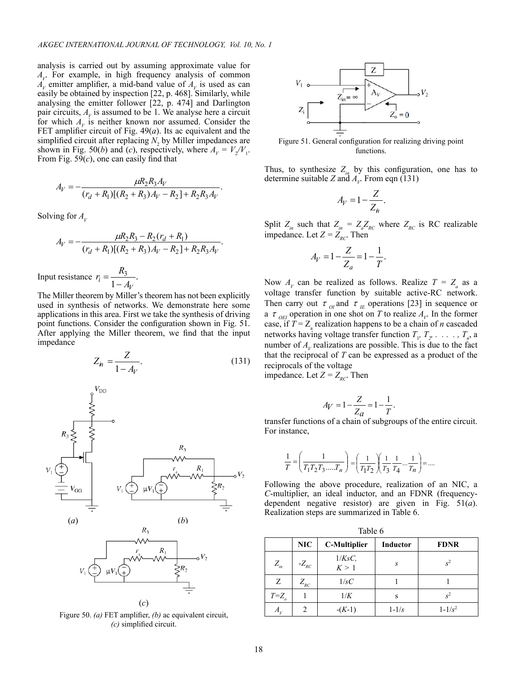analysis is carried out by assuming approximate value for  $A_V$ . For example, in high frequency analysis of common  $A_V$  emitter amplifier, a mid-band value of  $A_V$  is used as can easily be obtained by inspection [22, p. 468]. Similarly, while analysing the emitter follower [22, p. 474] and Darlington pair circuits,  $A<sub>V</sub>$  is assumed to be 1. We analyse here a circuit for which  $A_V$  is neither known nor assumed. Consider the FET amplifier circuit of Fig. 49(*a*). Its ac equivalent and the simplified circuit after replacing  $N_2$  by Miller impedances are shown in Fig. 50(*b*) and (*c*), respectively, where  $A_V = V_2/V_1$ . From Fig. 59(*c*), one can easily find that

$$
A_V = -\frac{\mu R_2 R_3 A_V}{(r_d + R_1)[(R_2 + R_3)A_V - R_2] + R_2 R_3 A_V}.
$$

Solving for  $A_v$ 

$$
A_V = -\frac{\mu R_2 R_3 - R_2 (r_d + R_1)}{(r_d + R_1)[(R_2 + R_3)A_V - R_2] + R_2 R_3 A_V}.
$$
  
Input resistance  $r_i = \frac{R_3}{1 - A_V}.$ 

The Miller theorem by Miller's theorem has not been explicitly used in synthesis of networks. We demonstrate here some applications in this area. First we take the synthesis of driving point functions. Consider the configuration shown in Fig. 51. After applying the Miller theorem, we find that the input impedance

$$
Z_{\dot{n}} = \frac{Z}{1 - A_V}.\tag{131}
$$



Figure 50. *(a)* FET amplifier, *(b)* ac equivalent circuit, *(c)* simplified circuit.



Figure 51. General configuration for realizing driving point functions.

Thus, to synthesize  $Z_{in}$  by this configuration, one has to determine suitable *Z* and  $A_v$ . From eqn (131)

$$
A_V = 1 - \frac{Z}{Z_n}.
$$

Split  $Z_{in}$  such that  $Z_{in} = Z_a Z_{RC}$  where  $Z_{RC}$  is RC realizable impedance. Let  $Z = Z_{RC}$ . Then

$$
A_V = 1 - \frac{Z}{Z_a} = 1 - \frac{1}{T}.
$$

Now  $A_V$  can be realized as follows. Realize  $T = Z_a$  as a voltage transfer function by suitable active-RC network. Then carry out  $\tau_{0I}$  and  $\tau_{IE}$  operations [23] in sequence or a  $\tau$ <sub>OEI</sub> operation in one shot on *T* to realize  $A_V$ . In the former case, if  $T = Z_a$  realization happens to be a chain of *n* cascaded networks having voltage transfer function  $T_1, T_2, \ldots, T_n$ , a number of  $A<sub>v</sub>$  realizations are possible. This is due to the fact that the reciprocal of *T* can be expressed as a product of the reciprocals of the voltage impedance. Let  $Z = Z_{\text{acc}}$ . Then

$$
P_{RC} = 1.1
$$

$$
A_V = 1 - \frac{Z}{Z_a} = 1 - \frac{1}{T}.
$$

transfer functions of a chain of subgroups of the entire circuit. For instance,

$$
\frac{1}{T} = \left(\frac{1}{T_1 T_2 T_3....T_n}\right) = \left(\frac{1}{T_1 T_2}\right)\left(\frac{1}{T_3}\frac{1}{T_4}...\frac{1}{T_n}\right) = ....
$$

Following the above procedure, realization of an NIC, a *C*-multiplier, an ideal inductor, and an FDNR (frequencydependent negative resistor) are given in Fig. 51(*a*). Realization steps are summarized in Table 6.

 $\overline{a}$ 

|             | NIC         | <b>C-Multiplier</b> | Inductor         | <b>FDNR</b> |
|-------------|-------------|---------------------|------------------|-------------|
| $Z_{in}$    | $-Z_{RC}$   | $1/KsC$ ,<br>K > 1  | $\boldsymbol{S}$ | $S^2$       |
| Ζ           | $Z_{_{RC}}$ | 1/sC                |                  |             |
| $T = Z_{o}$ |             | 1/K                 | S                | $S^2$       |
| А,          | 2           | $-(K-1)$            | $1 - 1/s$        | $1 - 1/s^2$ |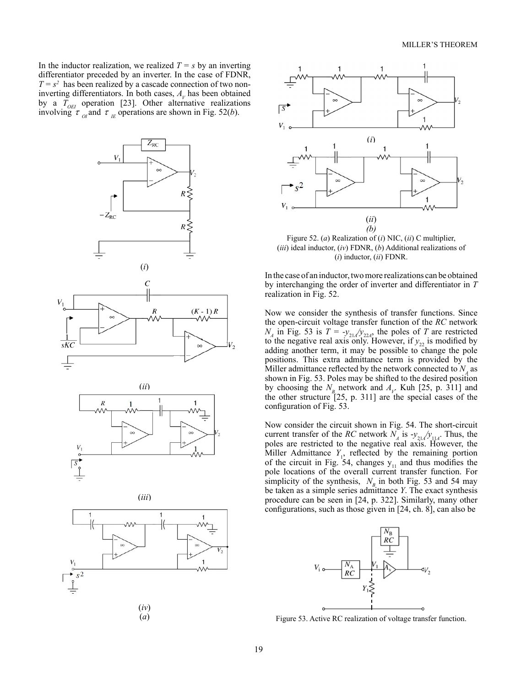In the inductor realization, we realized  $T = s$  by an inverting differentiator preceded by an inverter. In the case of FDNR,  $T = s^2$  has been realized by a cascade connection of two noninverting differentiators. In both cases,  $A<sub>V</sub>$  has been obtained by a  $T_{OEI}$  operation [23]. Other alternative realizations involving  $\tau_{0I}$  and  $\tau_{IE}$  operations are shown in Fig. 52(*b*).







Figure 52. (*a*) Realization of (*i*) NIC, (*ii*) C multiplier, (*iii*) ideal inductor, (*iv*) FDNR, (*b*) Additional realizations of (*i*) inductor, (*ii*) FDNR.

In the case of an inductor, two more realizations can be obtained by interchanging the order of inverter and differentiator in *T* realization in Fig. 52.

Now we consider the synthesis of transfer functions. Since the open-circuit voltage transfer function of the *RC* network  $N_A$  in Fig. 53 is  $T = -y_{21} / y_{22A}$ , the poles of *T* are restricted to the negative real axis only. However, if  $y_{22}$  is modified by adding another term, it may be possible to change the pole positions. This extra admittance term is provided by the Miller admittance reflected by the network connected to  $N_A$  as shown in Fig. 53. Poles may be shifted to the desired position by choosing the  $N_B$  network and  $A_V$  Kuh [25, p. 311] and the other structure [25, p. 311] are the special cases of the configuration of Fig. 53.

Now consider the circuit shown in Fig. 54. The short-circuit current transfer of the *RC* network  $N_A$  is  $-y_{21} / y_{11A}$ . Thus, the poles are restricted to the negative real axis. However, the Miller Admittance  $Y_1$ , reflected by the remaining portion of the circuit in Fig. 54, changes  $y_{11}$  and thus modifies the pole locations of the overall current transfer function. For simplicity of the synthesis,  $N_B$  in both Fig. 53 and 54 may be taken as a simple series admittance *Y*. The exact synthesis procedure can be seen in [24, p. 322]. Similarly, many other configurations, such as those given in [24, ch. 8], can also be



Figure 53. Active RC realization of voltage transfer function.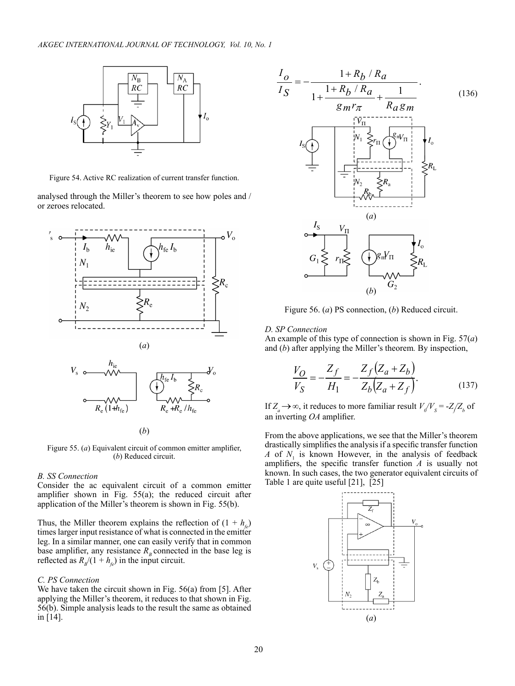

Figure 54. Active RC realization of current transfer function.

analysed through the Miller's theorem to see how poles and / or zeroes relocated.



Figure 55. (*a*) Equivalent circuit of common emitter amplifier, (*b*) Reduced circuit.

## *B. SS Connection*

Consider the ac equivalent circuit of a common emitter amplifier shown in Fig. 55(a); the reduced circuit after application of the Miller's theorem is shown in Fig. 55(b).

Thus, the Miller theorem explains the reflection of  $(1 + h_c)$ times larger input resistance of what is connected in the emitter leg. In a similar manner, one can easily verify that in common base amplifier, any resistance  $R<sub>B</sub>$  connected in the base leg is reflected as  $R_p/(1 + h_{fe})$  in the input circuit.

#### *C. PS Connection*

We have taken the circuit shown in Fig. 56(a) from [5]. After applying the Miller's theorem, it reduces to that shown in Fig. 56(b). Simple analysis leads to the result the same as obtained in [14].



Figure 56. (*a*) PS connection, (*b*) Reduced circuit.

#### *D. SP Connection*

An example of this type of connection is shown in Fig. 57(*a*) and (*b*) after applying the Miller's theorem*.* By inspection,

$$
\frac{V_O}{V_S} = -\frac{Z_f}{H_1} = -\frac{Z_f (Z_a + Z_b)}{Z_b (Z_a + Z_f)}.
$$
\n(137)

If  $Z_a \to \infty$ , it reduces to more familiar result  $V_d/V_s = -Z/Z_b$  of an inverting *OA* amplifier.

From the above applications, we see that the Miller's theorem drastically simplifies the analysis if a specific transfer function *A* of  $N_1$  is known However, in the analysis of feedback amplifiers, the specific transfer function *A* is usually not known. In such cases, the two generator equivalent circuits of Table 1 are quite useful [21], [25]